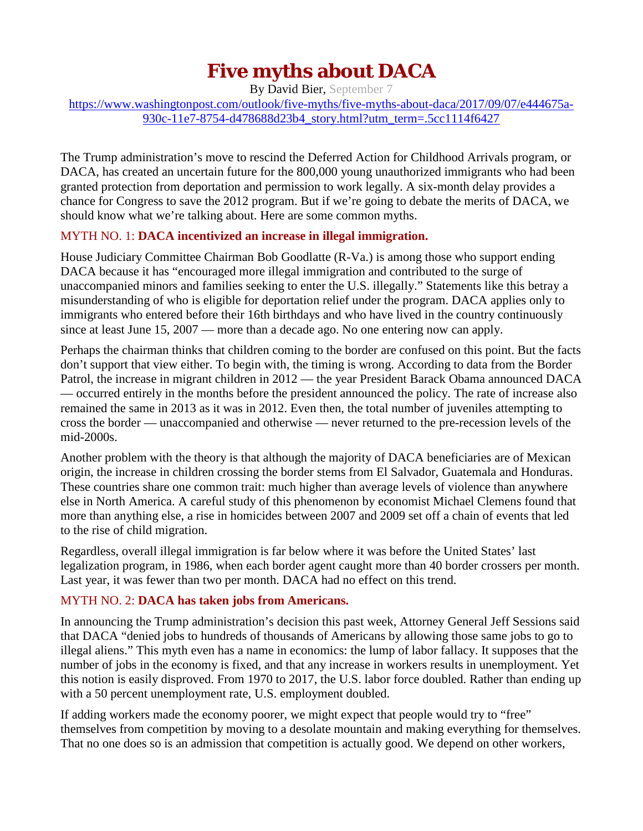# **Five myths about DACA**

By David Bier, September 7

[https://www.washingtonpost.com/outlook/five-myths/five-myths-about-daca/2017/09/07/e444675a-](https://www.washingtonpost.com/outlook/five-myths/five-myths-about-daca/2017/09/07/e444675a-930c-11e7-8754-d478688d23b4_story.html?utm_term=.5cc1114f6427)[930c-11e7-8754-d478688d23b4\\_story.html?utm\\_term=.5cc1114f6427](https://www.washingtonpost.com/outlook/five-myths/five-myths-about-daca/2017/09/07/e444675a-930c-11e7-8754-d478688d23b4_story.html?utm_term=.5cc1114f6427)

The Trump administration's move to rescind the Deferred Action for Childhood Arrivals program, or DACA, has created an uncertain future for the 800,000 young unauthorized immigrants who had been granted protection from deportation and permission to work legally. A six-month delay provides a chance for Congress to save the 2012 program. But if we're going to debate the merits of DACA, we should know what we're talking about. Here are some common myths.

## MYTH NO. 1: **DACA incentivized an increase in illegal immigration.**

House Judiciary Committee Chairman Bob Goodlatte (R-Va.) is among those who support ending DACA because it has "encouraged more illegal immigration and contributed to the surge of unaccompanied minors and families seeking to enter the U.S. illegally." Statements like this betray a misunderstanding of who is eligible for deportation relief under the program. DACA [applies](https://www.dhs.gov/xlibrary/assets/s1-exercising-prosecutorial-discretion-individuals-who-came-to-us-as-children.pdf) only to immigrants who entered before their 16th birthdays and who have lived in the country continuously since at least June 15, 2007 — more than a decade ago. No one entering now can apply.

Perhaps the chairman thinks that children coming to the border are confused on this point. But the facts don't support that view either. To begin with, the timing is wrong. According to data from the Border Patrol, the increase in migrant children in 2012 — the year President Barack Obama announced DACA — [occurred entirely](https://www.cato.org/blog/daca-definitely-did-not-cause-child-migrant-crisis) in the months before the president announced the policy. The rate of increase also [remained the same](http://niskanencenter.org/wp-content/uploads/2015/02/Examining-the-UAC-DACA-Link2.pdf) in 2013 as it was in 2012. Even then, the total number of juveniles attempting to cross the border — unaccompanied and otherwise — never returned to the pre-recession levels of the mid-2000s.

Another problem with the theory is that although the majority of DACA beneficiaries [are of Mexican](http://www.migrationpolicy.org/programs/data-hub/deferred-action-childhood-arrivals-daca-profiles)  [origin,](http://www.migrationpolicy.org/programs/data-hub/deferred-action-childhood-arrivals-daca-profiles) [the increase](http://niskanencenter.org/wp-content/uploads/2015/02/Examining-the-UAC-DACA-Link2.pdf) in children crossing the border stems from El Salvador, Guatemala and Honduras. These countries share one common trait: much higher than average levels of violence than anywhere else in North America. A [careful study](https://www.cgdev.org/sites/default/files/violence-development-and-migration-waves-evidence-central-american-child-migrant.pdf) of this phenomenon by economist Michael Clemens found that more than anything else, a rise in homicides between 2007 and 2009 set off a chain of events that led to the rise of child migration.

Regardless, overall illegal immigration is far below where it was before the United States' last legalization program, in 1986, when [each border agent](https://www.cato.org/blog/how-much-credit-can-trump-take-secure-border) caught more than 40 border crossers per month. Last year, it was fewer than two per month. DACA had no effect on this trend.

# MYTH NO. 2: **DACA has taken jobs from Americans.**

In announcing the Trump administration's decision this past week, Attorney General [Jeff Sessions said](https://www.washingtonpost.com/news/politics/wp/2017/09/05/the-white-house-statement-on-daca-annotated/) that DACA "denied jobs to hundreds of thousands of Americans by allowing those same jobs to go to illegal aliens." This myth even has a name in economics: [the lump of labor fallacy.](http://econlog.econlib.org/archives/2017/02/the_lump_of_lab.html) It supposes that the number of jobs in the economy is fixed, and that any increase in workers results in unemployment. Yet this notion is easily disproved. From 1970 to 2017, the U.S. labor force [doubled.](https://fred.stlouisfed.org/series/CLF16OV) Rather than ending up with a 50 percent unemployment rate, U.S. employment [doubled.](https://fred.stlouisfed.org/series/CE16OV)

If adding workers made the economy poorer, we might expect that people would try to "free" themselves from competition by moving to a desolate mountain and making everything for themselves. That no one does so is an admission that competition is actually good. We depend on other workers,